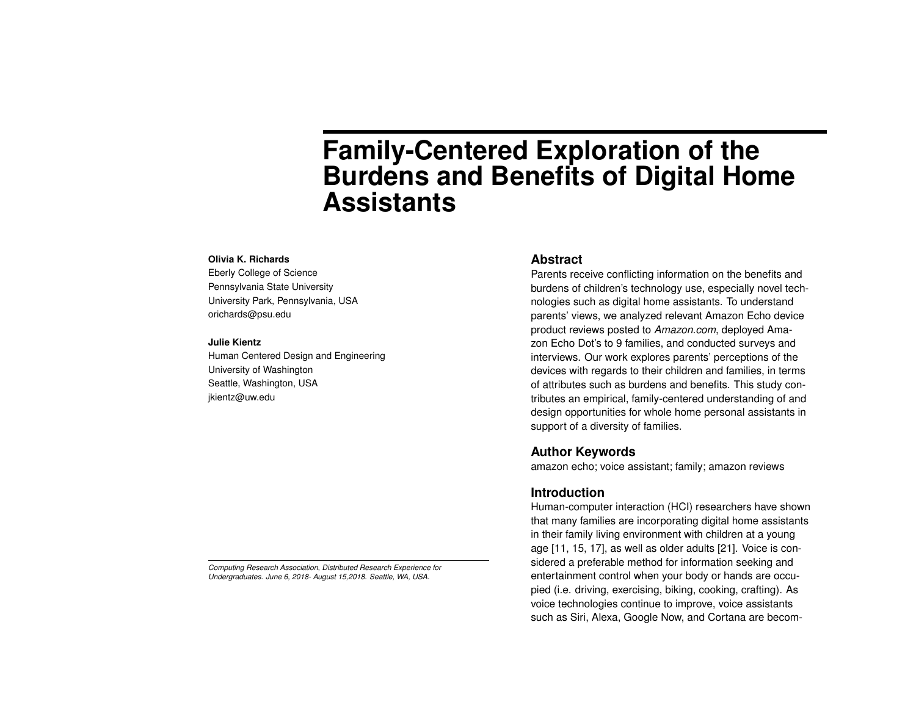# **Family-Centered Exploration of the Burdens and Benefits of Digital Home Assistants**

#### **Olivia K. Richards**

Eberly College of Science Pennsylvania State University University Park, Pennsylvania, USA orichards@psu.edu

#### **Julie Kientz**

Human Centered Design and Engineering University of Washington Seattle, Washington, USA jkientz@uw.edu

**Abstract**

Parents receive conflicting information on the benefits and burdens of children's technology use, especially novel technologies such as digital home assistants. To understand parents' views, we analyzed relevant Amazon Echo device product reviews posted to *Amazon.com*, deployed Amazon Echo Dot's to 9 families, and conducted surveys and interviews. Our work explores parents' perceptions of the devices with regards to their children and families, in terms of attributes such as burdens and benefits. This study contributes an empirical, family-centered understanding of and design opportunities for whole home personal assistants in support of a diversity of families.

# **Author Keywords**

amazon echo; voice assistant; family; amazon reviews

# **Introduction**

Human-computer interaction (HCI) researchers have shown that many families are incorporating digital home assistants in their family living environment with children at a young age [\[11,](#page-5-0) [15,](#page-5-1) [17\]](#page-6-0), as well as older adults [\[21\]](#page-6-1). Voice is considered a preferable method for information seeking and entertainment control when your body or hands are occupied (i.e. driving, exercising, biking, cooking, crafting). As voice technologies continue to improve, voice assistants such as Siri, Alexa, Google Now, and Cortana are becom-

*Computing Research Association, Distributed Research Experience for Undergraduates. June 6, 2018- August 15,2018. Seattle, WA, USA.*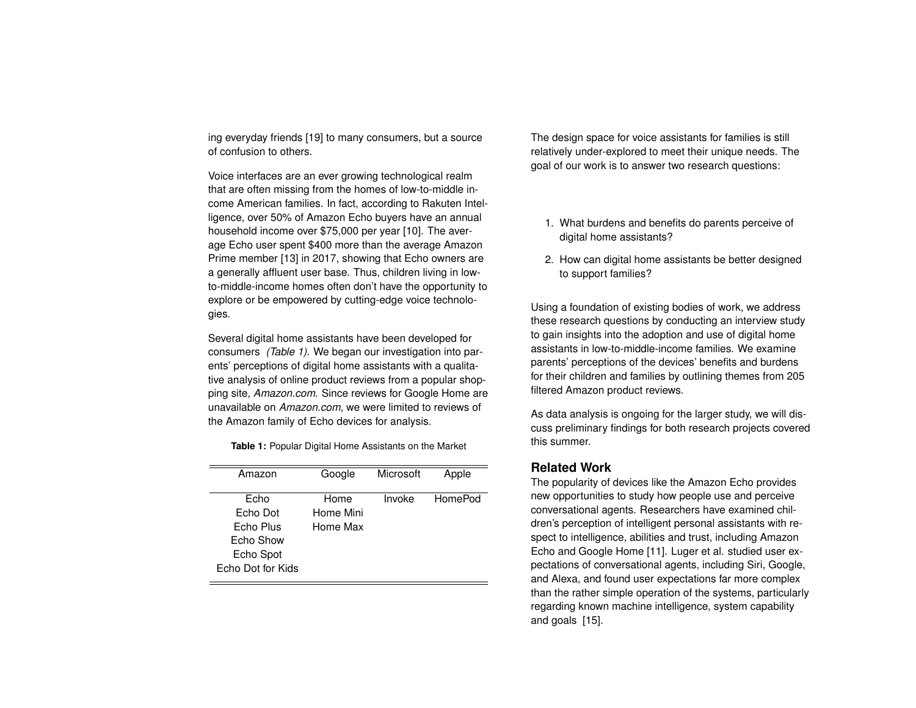ing everyday friends [\[19\]](#page-6-2) to many consumers, but a source of confusion to others.

Voice interfaces are an ever growing technological realm that are often missing from the homes of low-to-middle income American families. In fact, according to Rakuten Intelligence, over 50% of Amazon Echo buyers have an annual household income over \$75,000 per year [\[10\]](#page-5-2). The average Echo user spent \$400 more than the average Amazon Prime member [\[13\]](#page-5-3) in 2017, showing that Echo owners are a generally affluent user base. Thus, children living in lowto-middle-income homes often don't have the opportunity to explore or be empowered by cutting-edge voice technologies.

Several digital home assistants have been developed for consumers *(Table 1)*. We began our investigation into parents' perceptions of digital home assistants with a qualitative analysis of online product reviews from a popular shopping site, *Amazon.com*. Since reviews for Google Home are unavailable on *Amazon.com*, we were limited to reviews of the Amazon family of Echo devices for analysis.

| Amazon            | Google    | Microsoft | Apple   |
|-------------------|-----------|-----------|---------|
| Echo              | Home      | Invoke    | HomePod |
| Echo Dot          | Home Mini |           |         |
| Echo Plus         | Home Max  |           |         |
| Echo Show         |           |           |         |
| Echo Spot         |           |           |         |
| Echo Dot for Kids |           |           |         |

**Table 1:** Popular Digital Home Assistants on the Market

The design space for voice assistants for families is still relatively under-explored to meet their unique needs. The goal of our work is to answer two research questions:

- 1. What burdens and benefits do parents perceive of digital home assistants?
- 2. How can digital home assistants be better designed to support families?

Using a foundation of existing bodies of work, we address these research questions by conducting an interview study to gain insights into the adoption and use of digital home assistants in low-to-middle-income families. We examine parents' perceptions of the devices' benefits and burdens for their children and families by outlining themes from 205 filtered Amazon product reviews.

As data analysis is ongoing for the larger study, we will discuss preliminary findings for both research projects covered this summer.

# **Related Work**

The popularity of devices like the Amazon Echo provides new opportunities to study how people use and perceive conversational agents. Researchers have examined children's perception of intelligent personal assistants with respect to intelligence, abilities and trust, including Amazon Echo and Google Home [\[11\]](#page-5-0). Luger et al. studied user expectations of conversational agents, including Siri, Google, and Alexa, and found user expectations far more complex than the rather simple operation of the systems, particularly regarding known machine intelligence, system capability and goals [\[15\]](#page-5-1).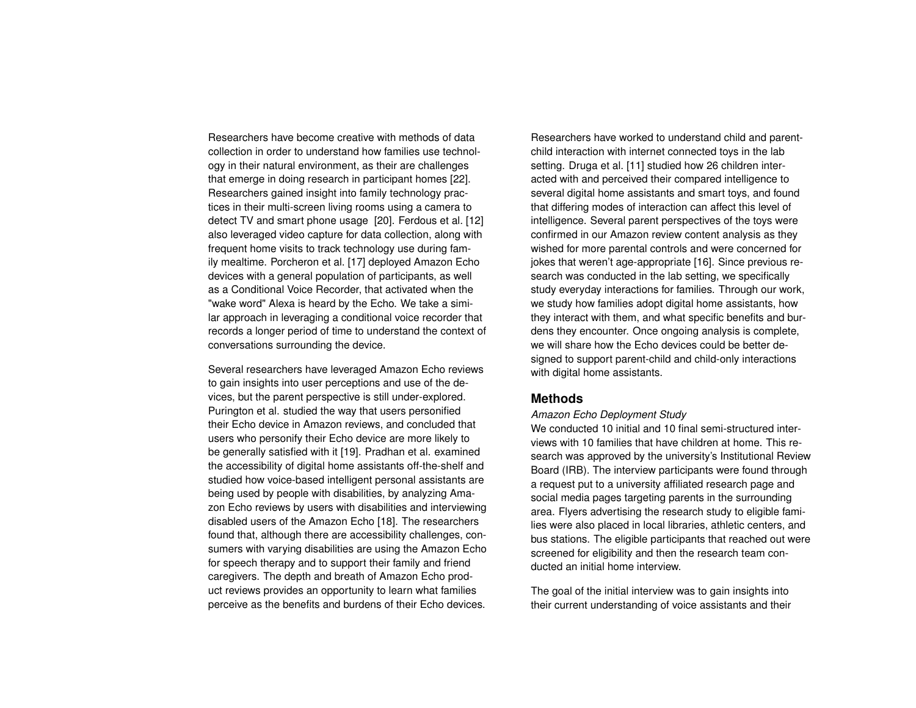Researchers have become creative with methods of data collection in order to understand how families use technology in their natural environment, as their are challenges that emerge in doing research in participant homes [\[22\]](#page-6-3). Researchers gained insight into family technology practices in their multi-screen living rooms using a camera to detect TV and smart phone usage [\[20\]](#page-6-4). Ferdous et al. [\[12\]](#page-5-4) also leveraged video capture for data collection, along with frequent home visits to track technology use during family mealtime. Porcheron et al. [\[17\]](#page-6-0) deployed Amazon Echo devices with a general population of participants, as well as a Conditional Voice Recorder, that activated when the "wake word" Alexa is heard by the Echo. We take a similar approach in leveraging a conditional voice recorder that records a longer period of time to understand the context of conversations surrounding the device.

Several researchers have leveraged Amazon Echo reviews to gain insights into user perceptions and use of the devices, but the parent perspective is still under-explored. Purington et al. studied the way that users personified their Echo device in Amazon reviews, and concluded that users who personify their Echo device are more likely to be generally satisfied with it [\[19\]](#page-6-2). Pradhan et al. examined the accessibility of digital home assistants off-the-shelf and studied how voice-based intelligent personal assistants are being used by people with disabilities, by analyzing Amazon Echo reviews by users with disabilities and interviewing disabled users of the Amazon Echo [\[18\]](#page-6-5). The researchers found that, although there are accessibility challenges, consumers with varying disabilities are using the Amazon Echo for speech therapy and to support their family and friend caregivers. The depth and breath of Amazon Echo product reviews provides an opportunity to learn what families perceive as the benefits and burdens of their Echo devices.

Researchers have worked to understand child and parentchild interaction with internet connected toys in the lab setting. Druga et al. [\[11\]](#page-5-0) studied how 26 children interacted with and perceived their compared intelligence to several digital home assistants and smart toys, and found that differing modes of interaction can affect this level of intelligence. Several parent perspectives of the toys were confirmed in our Amazon review content analysis as they wished for more parental controls and were concerned for jokes that weren't age-appropriate [\[16\]](#page-6-6). Since previous research was conducted in the lab setting, we specifically study everyday interactions for families. Through our work, we study how families adopt digital home assistants, how they interact with them, and what specific benefits and burdens they encounter. Once ongoing analysis is complete, we will share how the Echo devices could be better designed to support parent-child and child-only interactions with digital home assistants.

# **Methods**

## *Amazon Echo Deployment Study*

We conducted 10 initial and 10 final semi-structured interviews with 10 families that have children at home. This research was approved by the university's Institutional Review Board (IRB). The interview participants were found through a request put to a university affiliated research page and social media pages targeting parents in the surrounding area. Flyers advertising the research study to eligible families were also placed in local libraries, athletic centers, and bus stations. The eligible participants that reached out were screened for eligibility and then the research team conducted an initial home interview.

The goal of the initial interview was to gain insights into their current understanding of voice assistants and their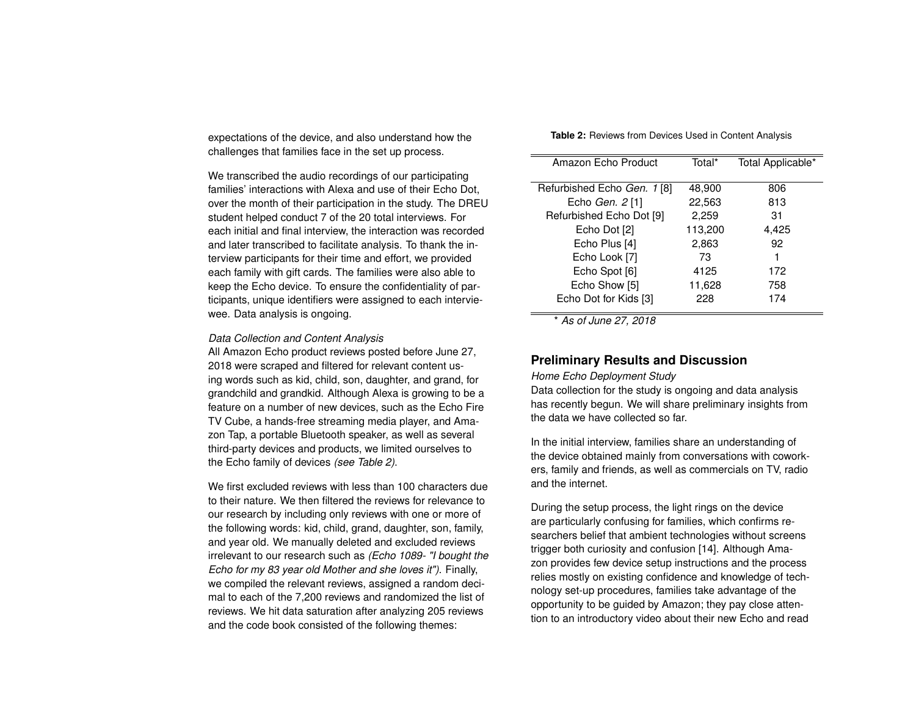expectations of the device, and also understand how the challenges that families face in the set up process.

We transcribed the audio recordings of our participating families' interactions with Alexa and use of their Echo Dot, over the month of their participation in the study. The DREU student helped conduct 7 of the 20 total interviews. For each initial and final interview, the interaction was recorded and later transcribed to facilitate analysis. To thank the interview participants for their time and effort, we provided each family with gift cards. The families were also able to keep the Echo device. To ensure the confidentiality of participants, unique identifiers were assigned to each interviewee. Data analysis is ongoing.

#### *Data Collection and Content Analysis*

All Amazon Echo product reviews posted before June 27, 2018 were scraped and filtered for relevant content using words such as kid, child, son, daughter, and grand, for grandchild and grandkid. Although Alexa is growing to be a feature on a number of new devices, such as the Echo Fire TV Cube, a hands-free streaming media player, and Amazon Tap, a portable Bluetooth speaker, as well as several third-party devices and products, we limited ourselves to the Echo family of devices *(see Table 2)*.

We first excluded reviews with less than 100 characters due to their nature. We then filtered the reviews for relevance to our research by including only reviews with one or more of the following words: kid, child, grand, daughter, son, family, and year old. We manually deleted and excluded reviews irrelevant to our research such as *(Echo 1089- "I bought the Echo for my 83 year old Mother and she loves it")*. Finally, we compiled the relevant reviews, assigned a random decimal to each of the 7,200 reviews and randomized the list of reviews. We hit data saturation after analyzing 205 reviews and the code book consisted of the following themes:

| Table 2: Reviews from Devices Used in Content Analysis |  |  |  |
|--------------------------------------------------------|--|--|--|
|--------------------------------------------------------|--|--|--|

| Amazon Echo Product         | Total*  | Total Applicable* |
|-----------------------------|---------|-------------------|
| Refurbished Echo Gen. 1 [8] | 48,900  | 806               |
| Echo Gen. 2 <sup>[1]</sup>  | 22,563  | 813               |
| Refurbished Echo Dot [9]    | 2,259   | 31                |
| Echo Dot [2]                | 113,200 | 4,425             |
| Echo Plus [4]               | 2,863   | 92                |
| Echo Look [7]               | 73      | 1                 |
| Echo Spot [6]               | 4125    | 172               |
| Echo Show [5]               | 11,628  | 758               |
| Echo Dot for Kids [3]       | 228     | 174               |
|                             |         |                   |

\* *As of June 27, 2018*

# **Preliminary Results and Discussion**

## *Home Echo Deployment Study*

Data collection for the study is ongoing and data analysis has recently begun. We will share preliminary insights from the data we have collected so far.

In the initial interview, families share an understanding of the device obtained mainly from conversations with coworkers, family and friends, as well as commercials on TV, radio and the internet.

During the setup process, the light rings on the device are particularly confusing for families, which confirms researchers belief that ambient technologies without screens trigger both curiosity and confusion [\[14\]](#page-5-14). Although Amazon provides few device setup instructions and the process relies mostly on existing confidence and knowledge of technology set-up procedures, families take advantage of the opportunity to be guided by Amazon; they pay close attention to an introductory video about their new Echo and read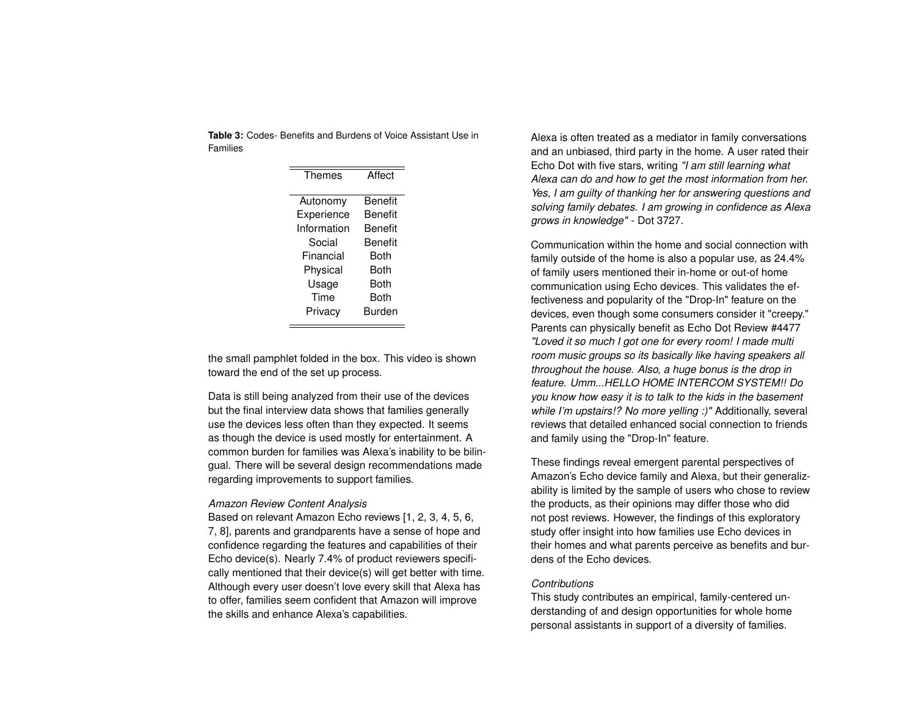**Table 3:** Codes- Benefits and Burdens of Voice Assistant Use in Families

| Themes      | Affect  |  |
|-------------|---------|--|
| Autonomy    | Benefit |  |
| Experience  | Benefit |  |
| Information | Benefit |  |
| Social      | Benefit |  |
| Financial   | Both    |  |
| Physical    | Both    |  |
| Usage       | Both    |  |
| Time        | Both    |  |
| Privacy     | Burden  |  |
|             |         |  |

the small pamphlet folded in the box. This video is shown toward the end of the set up process.

Data is still being analyzed from their use of the devices but the final interview data shows that families generally use the devices less often than they expected. It seems as though the device is used mostly for entertainment. A common burden for families was Alexa's inability to be bilingual. There will be several design recommendations made regarding improvements to support families.

#### *Amazon Review Content Analysis*

Based on relevant Amazon Echo reviews [\[1,](#page-5-6) [2,](#page-5-8) [3,](#page-5-13) [4,](#page-5-9) [5,](#page-5-12) [6,](#page-5-11) [7,](#page-5-10) [8\]](#page-5-5), parents and grandparents have a sense of hope and confidence regarding the features and capabilities of their Echo device(s). Nearly 7.4% of product reviewers specifically mentioned that their device(s) will get better with time. Although every user doesn't love every skill that Alexa has to offer, families seem confident that Amazon will improve the skills and enhance Alexa's capabilities.

Alexa is often treated as a mediator in family conversations and an unbiased, third party in the home. A user rated their Echo Dot with five stars, writing *"I am still learning what Alexa can do and how to get the most information from her. Yes, I am guilty of thanking her for answering questions and solving family debates. I am growing in confidence as Alexa grows in knowledge"* - Dot 3727.

Communication within the home and social connection with family outside of the home is also a popular use, as 24.4% of family users mentioned their in-home or out-of home communication using Echo devices. This validates the effectiveness and popularity of the "Drop-In" feature on the devices, even though some consumers consider it "creepy." Parents can physically benefit as Echo Dot Review #4477 *"Loved it so much I got one for every room! I made multi room music groups so its basically like having speakers all throughout the house. Also, a huge bonus is the drop in feature. Umm...HELLO HOME INTERCOM SYSTEM!! Do you know how easy it is to talk to the kids in the basement while I'm upstairs!? No more yelling :)"* Additionally, several reviews that detailed enhanced social connection to friends and family using the "Drop-In" feature.

These findings reveal emergent parental perspectives of Amazon's Echo device family and Alexa, but their generalizability is limited by the sample of users who chose to review the products, as their opinions may differ those who did not post reviews. However, the findings of this exploratory study offer insight into how families use Echo devices in their homes and what parents perceive as benefits and burdens of the Echo devices.

## *Contributions*

This study contributes an empirical, family-centered understanding of and design opportunities for whole home personal assistants in support of a diversity of families.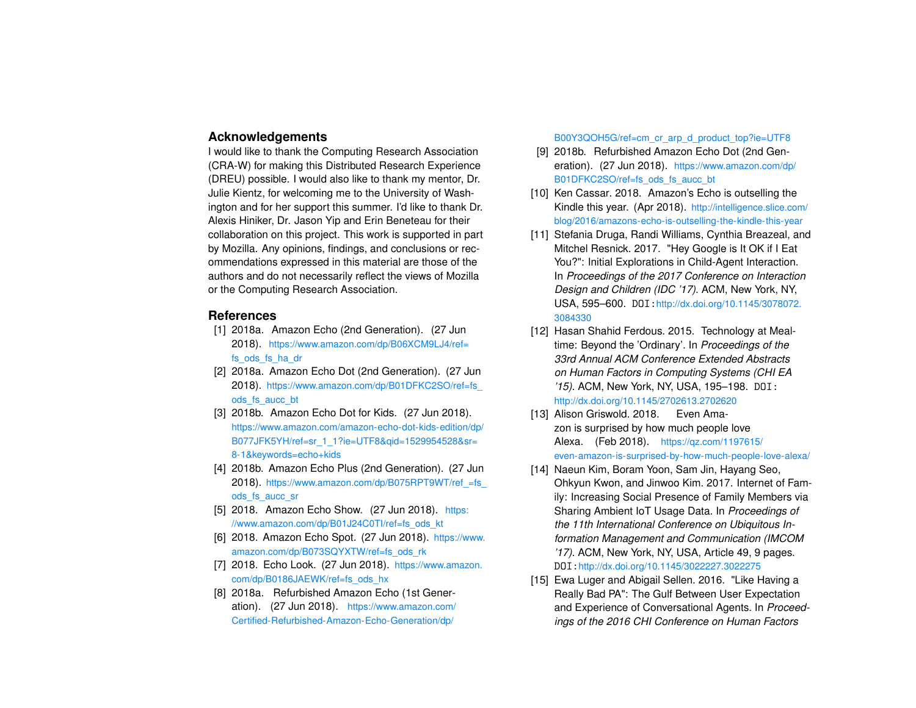# **Acknowledgements**

I would like to thank the Computing Research Association (CRA-W) for making this Distributed Research Experience (DREU) possible. I would also like to thank my mentor, Dr. Julie Kientz, for welcoming me to the University of Washington and for her support this summer. I'd like to thank Dr. Alexis Hiniker, Dr. Jason Yip and Erin Beneteau for their collaboration on this project. This work is supported in part by Mozilla. Any opinions, findings, and conclusions or recommendations expressed in this material are those of the authors and do not necessarily reflect the views of Mozilla or the Computing Research Association.

# **References**

- <span id="page-5-6"></span>[1] 2018a. Amazon Echo (2nd Generation). (27 Jun 2018). [https://www.amazon.com/dp/B06XCM9LJ4/ref=](https://www.amazon.com/dp/B06XCM9LJ4/ref=fs_ods_fs_ha_dr) [fs\\_ods\\_fs\\_ha\\_dr](https://www.amazon.com/dp/B06XCM9LJ4/ref=fs_ods_fs_ha_dr)
- <span id="page-5-8"></span>[2] 2018a. Amazon Echo Dot (2nd Generation). (27 Jun 2018). [https://www.amazon.com/dp/B01DFKC2SO/ref=fs\\_](https://www.amazon.com/dp/B01DFKC2SO/ref=fs_ods_fs_aucc_bt) [ods\\_fs\\_aucc\\_bt](https://www.amazon.com/dp/B01DFKC2SO/ref=fs_ods_fs_aucc_bt)
- <span id="page-5-13"></span>[3] 2018b. Amazon Echo Dot for Kids. (27 Jun 2018). [https://www.amazon.com/amazon-echo-dot-kids-edition/dp/](https://www.amazon.com/amazon-echo-dot-kids-edition/dp/B077JFK5YH/ref=sr_1_1?ie=UTF8&qid=1529954528&sr=8-1&keywords=echo+kids) [B077JFK5YH/ref=sr\\_1\\_1?ie=UTF8&qid=1529954528&sr=](https://www.amazon.com/amazon-echo-dot-kids-edition/dp/B077JFK5YH/ref=sr_1_1?ie=UTF8&qid=1529954528&sr=8-1&keywords=echo+kids) [8-1&keywords=echo+kids](https://www.amazon.com/amazon-echo-dot-kids-edition/dp/B077JFK5YH/ref=sr_1_1?ie=UTF8&qid=1529954528&sr=8-1&keywords=echo+kids)
- <span id="page-5-9"></span>[4] 2018b. Amazon Echo Plus (2nd Generation). (27 Jun 2018). https://www.amazon.com/dp/B075RPT9WT/ref =fs ods fs\_aucc\_sr
- <span id="page-5-12"></span>[5] 2018. Amazon Echo Show. (27 Jun 2018). [https:](https://www.amazon.com/dp/B01J24C0TI/ref=fs_ods_kt) [//www.amazon.com/dp/B01J24C0TI/ref=fs\\_ods\\_kt](https://www.amazon.com/dp/B01J24C0TI/ref=fs_ods_kt)
- <span id="page-5-11"></span>[6] 2018. Amazon Echo Spot. (27 Jun 2018). [https://www.](https://www.amazon.com/dp/B073SQYXTW/ref=fs_ods_rk) [amazon.com/dp/B073SQYXTW/ref=fs\\_ods\\_rk](https://www.amazon.com/dp/B073SQYXTW/ref=fs_ods_rk)
- <span id="page-5-10"></span>[7] 2018. Echo Look. (27 Jun 2018). [https://www.amazon.](https://www.amazon.com/dp/B0186JAEWK/ref=fs_ods_hx) [com/dp/B0186JAEWK/ref=fs\\_ods\\_hx](https://www.amazon.com/dp/B0186JAEWK/ref=fs_ods_hx)
- <span id="page-5-5"></span>[8] 2018a. Refurbished Amazon Echo (1st Generation). (27 Jun 2018). [https://www.amazon.com/](https://www.amazon.com/Certified-Refurbished-Amazon-Echo-Generation/dp/B00Y3QOH5G/ref=cm_cr_arp_d_product_top?ie=UTF8) [Certified-Refurbished-Amazon-Echo-Generation/dp/](https://www.amazon.com/Certified-Refurbished-Amazon-Echo-Generation/dp/B00Y3QOH5G/ref=cm_cr_arp_d_product_top?ie=UTF8)

[B00Y3QOH5G/ref=cm\\_cr\\_arp\\_d\\_product\\_top?ie=UTF8](https://www.amazon.com/Certified-Refurbished-Amazon-Echo-Generation/dp/B00Y3QOH5G/ref=cm_cr_arp_d_product_top?ie=UTF8)

- <span id="page-5-7"></span>[9] 2018b. Refurbished Amazon Echo Dot (2nd Generation). (27 Jun 2018). [https://www.amazon.com/dp/](https://www.amazon.com/dp/B01DFKC2SO/ref=fs_ods_fs_aucc_bt) [B01DFKC2SO/ref=fs\\_ods\\_fs\\_aucc\\_bt](https://www.amazon.com/dp/B01DFKC2SO/ref=fs_ods_fs_aucc_bt)
- <span id="page-5-2"></span>[10] Ken Cassar. 2018. Amazon's Echo is outselling the Kindle this year. (Apr 2018). [http://intelligence.slice.com/](http://intelligence.slice.com/blog/2016/amazons-echo-is-outselling-the-kindle-this-year) [blog/2016/amazons-echo-is-outselling-the-kindle-this-year](http://intelligence.slice.com/blog/2016/amazons-echo-is-outselling-the-kindle-this-year)
- <span id="page-5-0"></span>[11] Stefania Druga, Randi Williams, Cynthia Breazeal, and Mitchel Resnick. 2017. "Hey Google is It OK if I Eat You?": Initial Explorations in Child-Agent Interaction. In *Proceedings of the 2017 Conference on Interaction Design and Children (IDC '17)*. ACM, New York, NY, USA, 595–600. DOI:[http://dx.doi.org/10.1145/3078072.](http://dx.doi.org/10.1145/3078072.3084330) [3084330](http://dx.doi.org/10.1145/3078072.3084330)
- <span id="page-5-4"></span>[12] Hasan Shahid Ferdous. 2015. Technology at Mealtime: Beyond the 'Ordinary'. In *Proceedings of the 33rd Annual ACM Conference Extended Abstracts on Human Factors in Computing Systems (CHI EA '15)*. ACM, New York, NY, USA, 195–198. DOI: <http://dx.doi.org/10.1145/2702613.2702620>
- <span id="page-5-3"></span>[13] Alison Griswold. 2018. Even Amazon is surprised by how much people love Alexa. (Feb 2018). [https://qz.com/1197615/](https://qz.com/1197615/even-amazon-is-surprised-by-how-much-people-love-alexa/) [even-amazon-is-surprised-by-how-much-people-love-alexa/](https://qz.com/1197615/even-amazon-is-surprised-by-how-much-people-love-alexa/)
- <span id="page-5-14"></span>[14] Naeun Kim, Boram Yoon, Sam Jin, Hayang Seo, Ohkyun Kwon, and Jinwoo Kim. 2017. Internet of Family: Increasing Social Presence of Family Members via Sharing Ambient IoT Usage Data. In *Proceedings of the 11th International Conference on Ubiquitous Information Management and Communication (IMCOM '17)*. ACM, New York, NY, USA, Article 49, 9 pages. DOI:<http://dx.doi.org/10.1145/3022227.3022275>
- <span id="page-5-1"></span>[15] Ewa Luger and Abigail Sellen. 2016. "Like Having a Really Bad PA": The Gulf Between User Expectation and Experience of Conversational Agents. In *Proceedings of the 2016 CHI Conference on Human Factors*